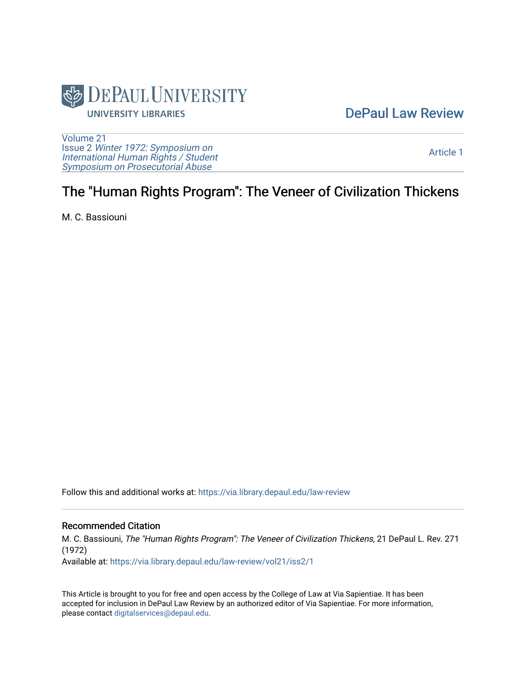

## [DePaul Law Review](https://via.library.depaul.edu/law-review)

[Volume 21](https://via.library.depaul.edu/law-review/vol21) Issue 2 [Winter 1972: Symposium on](https://via.library.depaul.edu/law-review/vol21/iss2) [International Human Rights / Student](https://via.library.depaul.edu/law-review/vol21/iss2) [Symposium on Prosecutorial Abuse](https://via.library.depaul.edu/law-review/vol21/iss2)

[Article 1](https://via.library.depaul.edu/law-review/vol21/iss2/1) 

# The "Human Rights Program": The Veneer of Civilization Thickens

M. C. Bassiouni

Follow this and additional works at: [https://via.library.depaul.edu/law-review](https://via.library.depaul.edu/law-review?utm_source=via.library.depaul.edu%2Flaw-review%2Fvol21%2Fiss2%2F1&utm_medium=PDF&utm_campaign=PDFCoverPages) 

## Recommended Citation

M. C. Bassiouni, The "Human Rights Program": The Veneer of Civilization Thickens, 21 DePaul L. Rev. 271 (1972)

Available at: [https://via.library.depaul.edu/law-review/vol21/iss2/1](https://via.library.depaul.edu/law-review/vol21/iss2/1?utm_source=via.library.depaul.edu%2Flaw-review%2Fvol21%2Fiss2%2F1&utm_medium=PDF&utm_campaign=PDFCoverPages) 

This Article is brought to you for free and open access by the College of Law at Via Sapientiae. It has been accepted for inclusion in DePaul Law Review by an authorized editor of Via Sapientiae. For more information, please contact [digitalservices@depaul.edu.](mailto:digitalservices@depaul.edu)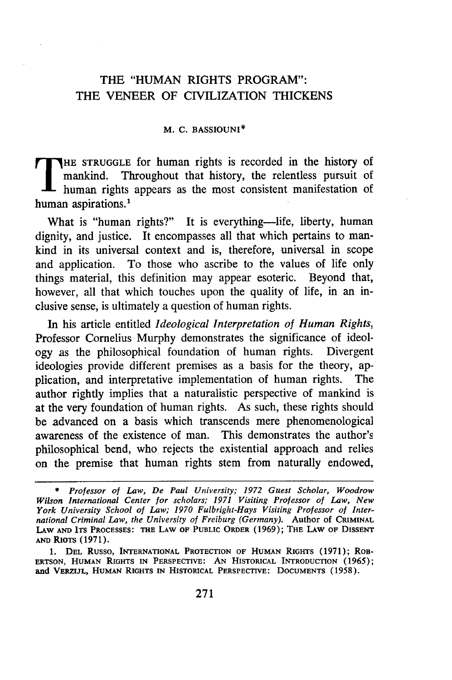## THE **"HUMAN** RIGHTS PROGRAM": THE **VENEER** OF **CIVILIZATION THICKENS**

#### M. **C. BASSIOUNI\***

**HE STRUGGLE for human rights is recorded in the history of** mankind. Throughout that history, the relentless pursuit of human rights appears as the most consistent manifestation of human aspirations.<sup>1</sup>

What is "human rights?" It is everything-life, liberty, human dignity, and justice. It encompasses all that which pertains to mankind in its universal context and is, therefore, universal in scope and application. To those who ascribe to the values of life only things material, this definition may appear esoteric. Beyond that, however, all that which touches upon the quality of life, in an inclusive sense, is ultimately a question of human rights.

In his article entitled *Ideological Interpretation of Human Rights,* Professor Cornelius Murphy demonstrates the significance of ideology as the philosophical foundation of human rights. Divergent ideologies provide different premises as a basis for the theory, application, and interpretative implementation of human rights. The author rightly implies that a naturalistic perspective of mankind is at the very foundation of human rights. As such, these rights should be advanced on a basis which transcends mere phenomenological awareness of the existence of man. This demonstrates the author's philosophical bend, who rejects the existential approach and relies on the premise that human rights stem from naturally endowed,

*<sup>\*</sup> Professor of Law, De Paul University; 1972 Guest Scholar, Woodrow Wilson International Center for scholars; 1971 Visiting Professor of Law, New York University School of Law; 1970 Fulbright-Hays Visiting Professor of International Criminal Law, the University of Freiburg (Germany).* **Author of** CRIMINAL LAW **AND ITS PROCESSES:** THE **LAW** OF **PUBLIC** ORDER **(1969);** THE **LAW OF** DISSENT **AND RIOTS (1971).**

**<sup>1.</sup> DEL** Russo, INTERNATIONAL PROTECTION **OF** HUMAN RIGHTS **(1971);** ROB-**ERTSON,** HUMAN RIGHTS IN PERSPECTIVE: **AN** HISTORICAL **INTRODUCTION (1965);** and VERZIJL, HUMAN RIGHTS IN HISTORICAL PERSPECTIVE: DOCUMENTS (1958).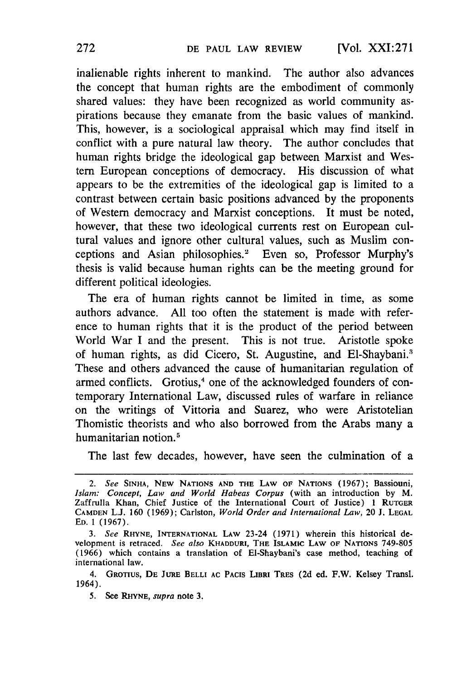inalienable rights inherent to mankind. The author also advances the concept that human rights are the embodiment of commonly shared values: they have been recognized as world community aspirations because they emanate from the basic values of mankind. This, however, is a sociological appraisal which may find itself in conflict with a pure natural law theory. The author concludes that human rights bridge the ideological gap between Marxist and Western European conceptions of democracy. His discussion of what appears to be the extremities of the ideological gap is limited to a contrast between certain basic positions advanced by the proponents of Western democracy and Marxist conceptions. It must be noted, however, that these two ideological currents rest on European cultural values and ignore other cultural values, such as Muslim conceptions and Asian philosophies.' Even so, Professor Murphy's thesis is valid because human rights can be the meeting ground for different political ideologies.

The era of human rights cannot be limited in time, as some authors advance. All too often the statement is made with reference to human rights that it is the product of the period between World War I and the present. This is not true. Aristotle spoke of human rights, as did Cicero, St. Augustine, and E1-Shaybani.3 These and others advanced the cause of humanitarian regulation of armed conflicts. Grotius,<sup>4</sup> one of the acknowledged founders of contemporary International Law, discussed rules of warfare in reliance on the writings of Vittoria and Suarez, who were Aristotelian Thomistic theorists and who also borrowed from the Arabs many a humanitarian notion.<sup>5</sup>

The last few decades, however, have seen the culmination of a

*<sup>2.</sup> See* **SINHA,** NEW **NATIONS AND** THE LAW **OF NATIONS** (1967); Bassiouni, *Islam: Concept, Law and World Habeas Corpus* (with an introduction by M. Zaffrulla Khan, Chief Justice of the International Court of Justice) 1 **RUTGER CAMDEN** L.J. 160 (1969); Carlston, *World Order and International Law,* 20 J. **LEGAL ED. 1** (1967).

*<sup>3.</sup> See* RHYNE, **INTERNATIONAL** LAW 23-24 (1971) wherein this historical development is retraced. *See also* **KHADDURI,** THE ISLAMIC LAW OF NATIONS **749-805** (1966) which contains a translation of EI-Shaybani's case method, teaching of international law.

<sup>4.</sup> GROTIUS, DE JURE BELLI AC PACIS LIBRI TRES (2d ed. F.W. Kelsey Transl. 1964).

**<sup>5.</sup> See** RHYNE, *supra* **note 3.**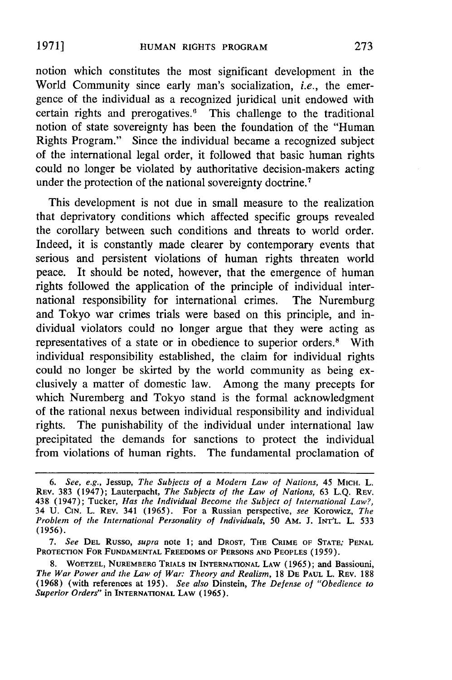notion which constitutes the most significant development in the World Community since early man's socialization, *i.e.,* the emergence of the individual as a recognized juridical unit endowed with certain rights and prerogatives.' This challenge to the traditional notion of state sovereignty has been the foundation of the "Human Rights Program." Since the individual became a recognized subject of the international legal order, it followed that basic human rights could no longer be violated by authoritative decision-makers acting under the protection of the national sovereignty doctrine.<sup>7</sup>

This development is not due in small measure to the realization that deprivatory conditions which affected specific groups revealed the corollary between such conditions and threats to world order. Indeed, it is constantly made clearer by contemporary events that serious and persistent violations of human rights threaten world peace. It should be noted, however, that the emergence of human rights followed the application of the principle of individual international responsibility for international crimes. The Nuremburg and Tokyo war crimes trials were based on this principle, and individual violators could no longer argue that they were acting as representatives of a state or in obedience to superior orders.' With individual responsibility established, the claim for individual rights could no longer be skirted **by** the world community as being exclusively a matter of domestic law. Among the many precepts for which Nuremberg and Tokyo stand is the formal acknowledgment of the rational nexus between individual responsibility and individual rights. The punishability of the individual under international law precipitated the demands for sanctions to protect the individual from violations of human rights. The fundamental proclamation of

**1971]**

*<sup>6.</sup>* See, e.g., Jessup, *The Subjects of a Modern Law of Nations,* 45 **MICH.** L. REV. 383 (1947); Lauterpacht, The Subjects of the Law of Nations, 63 **L.Q.** REV. 438 (1947); Tucker, *Has the Individual Become the Subject* of International *Law?,* 34 U. **CIN.** L. REV. 341 (1965). For a Russian perspective, *see* Korowicz, *The Problem of* the International Personality of *Individuals, 50* AM. **J. INT'L.** L. 533 (1956).

*<sup>7.</sup>* See **DEL** Russo, supra note 1; and DROST, THE CRIME OF **STATE; PENAL PROTECTION FOR FUNDAMENTAL** FREEDOMS OF **PERSONS AND PEOPLES (1959).**

**<sup>8.</sup>** WOETZEL, **NUREMBERO** TRIALS **IN** INTERNATIONAL **LAW** (1965); and Bassiouni, The War Power and the *Law of War: Theory and Realism,* 18 **DE PAUL L.** REV. **188 (1968)** (with **references at 195).** *See also* Dinstein, The *Defense* of "Obedience to Superior *Orders"* in **INTERNATIONAL LAW** (1965).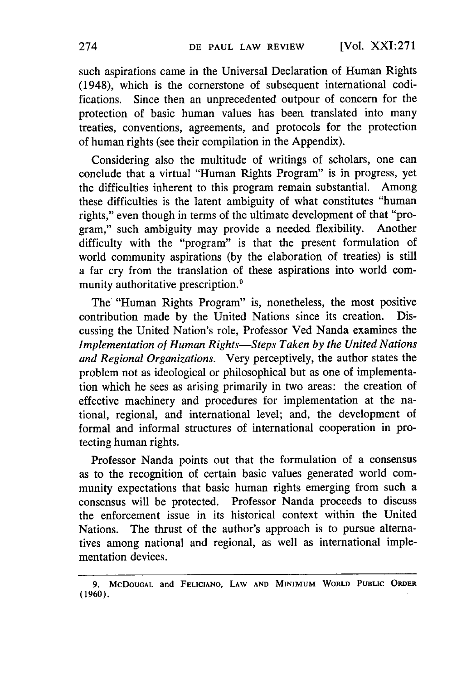such aspirations came in the Universal Declaration of Human Rights (1948), which is the cornerstone of subsequent international codifications. Since then an unprecedented outpour of concern for the protection of basic human values has been translated into many treaties, conventions, agreements, and protocols for the protection of human rights (see their compilation in the Appendix).

Considering also the multitude of writings of scholars, one can conclude that a virtual "Human Rights Program" is in progress, yet the difficulties inherent to this program remain substantial. Among these difficulties is the latent ambiguity of what constitutes "human rights," even though in terms of the ultimate development of that "program," such ambiguity may provide a needed flexibility. Another difficulty with the "program" is that the present formulation of world community aspirations (by the elaboration of treaties) is still a far cry from the translation of these aspirations into world community authoritative prescription.<sup>9</sup>

The "Human Rights Program" is, nonetheless, the most positive contribution made by the United Nations since its creation. Discussing the United Nation's role, Professor Ved Nanda examines the *Implementation of Human Rights-Steps Taken by the United Nations and Regional Organizations.* Very perceptively, the author states the problem not as ideological or philosophical but as one of implementation which he sees as arising primarily in two areas: the creation of effective machinery and procedures for implementation at the national, regional, and international level; and, the development of formal and informal structures of international cooperation in protecting human rights.

Professor Nanda points out that the formulation of a consensus as to the recognition of certain basic values generated world community expectations that basic human rights emerging from such a consensus will be protected. Professor Nanda proceeds to discuss the enforcement issue in its historical context within the United Nations. The thrust of the author's approach is to pursue alternatives among national and regional, as well as international implementation devices.

**<sup>9.</sup>** McDOUGAL **and FELICIANO, LAW AND MINIMUM** WORLD **PUBLIC** ORDER **(1960).**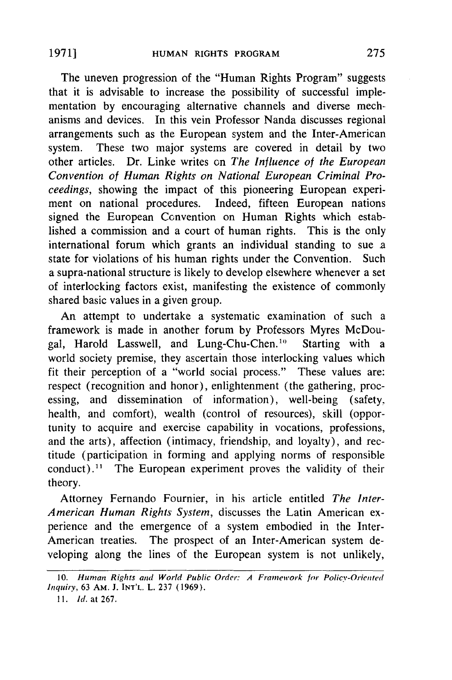The uneven progression of the "Human Rights Program" suggests that it is advisable to increase the possibility of successful implementation by encouraging alternative channels and diverse mech-. anisms and devices. In this vein Professor Nanda discusses regional arrangements such as the European system and the Inter-American system. These two major systems are covered in detail by two other articles. Dr. Linke writes on *The Influence of the European Convention of Human Rights on National European Criminal Proceedings,* showing the impact of this pioneering European experiment on national procedures. Indeed, fifteen European nations signed the European Convention on Human Rights which established a commission and a court of human rights. This is the only international forum which grants an individual standing to sue a state for violations of his human rights under the Convention. Such a supra-national structure is likely to develop elsewhere whenever a set of interlocking factors exist, manifesting the existence of commonly shared basic values in a given group.

An attempt to undertake a systematic examination of such a framework is made in another forum by Professors Myres McDougal, Harold Lasswell, and Lung-Chu-Chen."' Starting with a world society premise, they ascertain those interlocking values which fit their perception of a "world social process." These values are: respect (recognition and honor), enlightenment (the gathering, processing, and dissemination of information), well-being (safety, health, and comfort), wealth (control of resources), skill (opportunity to acquire and exercise capability in vocations, professions, and the arts), affection (intimacy, friendship, and loyalty), and rectitude (participation in forming and applying norms of responsible conduct).<sup>11</sup> The European experiment proves the validity of their theory.

Attorney Fernando Fournier, in his article entitled *The Inter-American Human Rights System,* discusses the Latin American experience and the emergence of a system embodied in the Inter-American treaties. The prospect of an Inter-American system developing along the lines of the European system is not unlikely,

*<sup>10.</sup>* Human *Rights* and World Public Order: **A** Framework **for** Policy-Oriented *Inquiry,* **63** AM. **J. INT'L.** L. **237 (1969).**

*II. Jd.* at 267.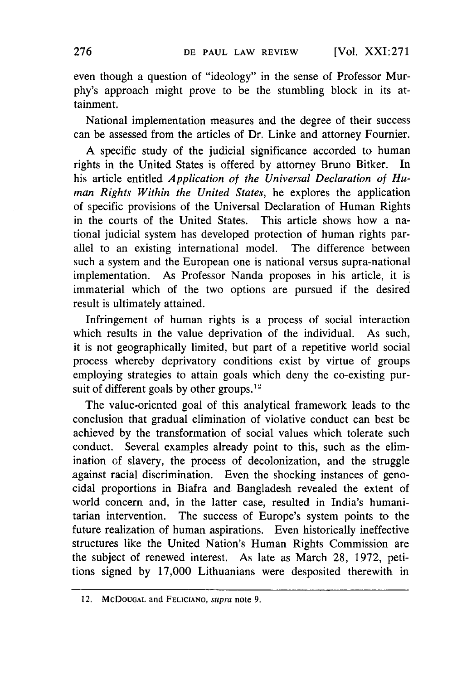even though a question of "ideology" in the sense of Professor Murphy's approach might prove to be the stumbling block in its attainment.

National implementation measures and the degree of their success can be assessed from the articles of Dr. Linke and attorney Fournier.

A specific study of the judicial significance accorded to human rights in the United States is offered by attorney Bruno Bitker. In his article entitled *Application of the Universal Declaration of Human Rights Within the United States,* he explores the application of specific provisions of the Universal Declaration of Human Rights in the courts of the United States. This article shows how a national judicial system has developed protection of human rights parallel to an existing international model. The difference between such a system and the European one is national versus supra-national implementation. As Professor Nanda proposes in his article, it is immaterial which of the two options are pursued if the desired result is ultimately attained.

Infringement of human rights is a process of social interaction which results in the value deprivation of the individual. As such, it is not geographically limited, but part of a repetitive world social process whereby deprivatory conditions exist by virtue of groups employing strategies to attain goals which deny the co-existing pursuit of different goals by other groups.<sup>12</sup>

The value-oriented goal of this analytical framework leads to the conclusion that gradual elimination of violative conduct can best be achieved by the transformation of social values which tolerate such conduct. Several examples already point to this, such as the elimination of slavery, the process of decolonization, and the struggle against racial discrimination. Even the shocking instances of genocidal proportions in Biafra and Bangladesh revealed the extent of world concern and, in the latter case, resulted in India's humanitarian intervention. The success of Europe's system points to the future realization of human aspirations. Even historically ineffective structures like the United Nation's Human Rights Commission are the subject of renewed interest. As late as March 28, 1972, petitions signed by 17,000 Lithuanians were desposited therewith in

<sup>12.</sup> McDOUGAL and **FELICIANO,** *supra* note 9.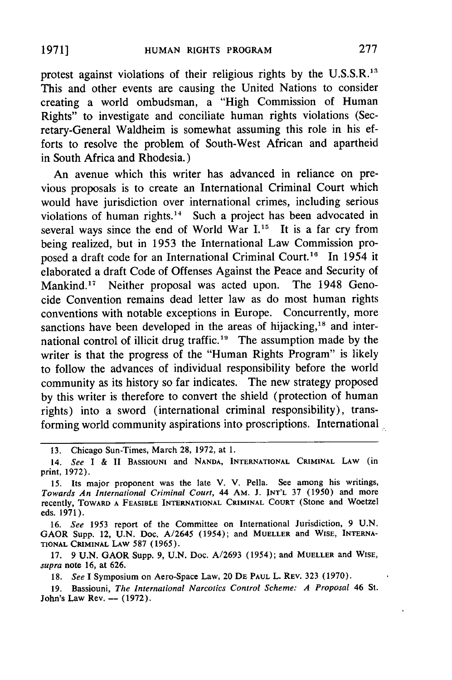protest against violations of their religious rights by the U.S.S.R.<sup>13</sup> This and other events are causing the United Nations to consider creating a world ombudsman, a "High Commission of Human Rights" to investigate and conciliate human rights violations (Secretary-General Waldheim is somewhat assuming this role in his efforts to resolve the problem of South-West African and apartheid in South Africa and Rhodesia.)

An avenue which this writer has advanced in reliance on previous proposals is to create an International Criminal Court which would have jurisdiction over international crimes, including serious violations of human rights.<sup>14</sup> Such a project has been advocated in several ways since the end of World War **I."** It is a far cry from being realized, but in 1953 the International Law Commission proposed a draft code for an International Criminal Court.<sup>16</sup> In 1954 it elaborated a draft Code of Offenses Against the Peace and Security of Mankind.<sup>17</sup> Neither proposal was acted upon. The 1948 Genocide Convention remains dead letter law as do most human rights conventions with notable exceptions in Europe. Concurrently, more sanctions have been developed in the areas of hijacking,<sup>18</sup> and international control of illicit drug traffic.<sup>19</sup> The assumption made by the writer is that the progress of the "Human Rights Program" is likely to follow the advances of individual responsibility before the world community as its history so far indicates. The new strategy proposed by this writer is therefore to convert the shield (protection of human rights) into a sword (international criminal responsibility), transforming world community aspirations into proscriptions. International

**1971]**

<sup>13.</sup> Chicago Sun-Times, March 28, 1972, at 1.

<sup>14.</sup> *See* I & II BASSIOUNI and NANDA, INTERNATIONAL CRIMINAL LAW (in print, 1972).

**<sup>15.</sup>** Its major proponent was the late V. V. Pella. See among his writings, *Towards An International Criminal Court,* 44 AM. **J. INT'L 37** (1950) and more recently, TOWARD A FEASIBLE INTERNATIONAL CRIMINAL **COURT** (Stone and Woetzel eds. 1971).

<sup>16.</sup> *See* **1953** report of the Committee on International Jurisdiction, 9 U.N. GAOR Supp. 12, **U.N.** Doc. A/2645 (1954); and **MUELLER** and WISE, INTERNA-**TIONAL** CRIMINAL LAW **587** (1965).

**<sup>17.</sup>** 9 **U.N.** GAOR Supp. 9, **U.N.** Doc. A/2693 (1954); and MUELLER and WISE, *supra* note 16, at 626.

**<sup>18.</sup>** *See* **I** Symposium on Aero-Space Law, 20 DE **PAUL** L. REV. **323** (1970).

**<sup>19.</sup>** Bassiouni, *The International Narcotics Control Scheme: A Proposal* 46 St. John's Law Rev. **--** (1972).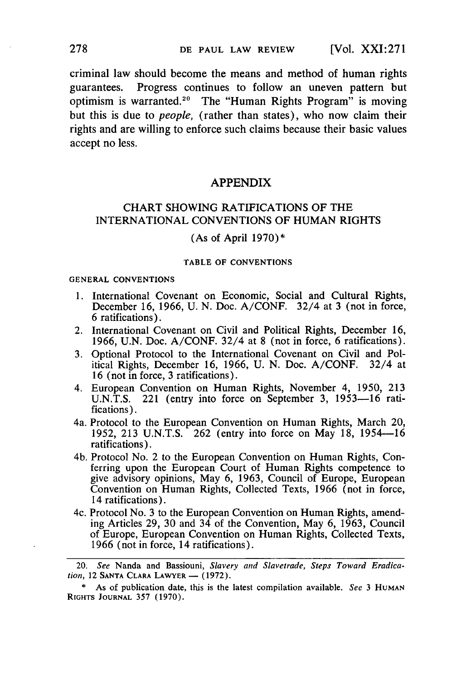criminal law should become the means and method of human rights guarantees. Progress continues to follow an uneven pattern but optimism is warranted.<sup>20</sup> The "Human Rights Program" is moving but this is due to *people,* (rather than states), who now claim their rights and are willing to enforce such claims because their basic values accept no less.

### APPENDIX

## CHART SHOWING RATIFICATIONS OF THE INTERNATIONAL CONVENTIONS OF HUMAN RIGHTS

(As of April  $1970$ )\*

#### TABLE OF **CONVENTIONS**

#### **GENERAL CONVENTIONS**

- 1. International Covenant on Economic, Social and Cultural Rights, December 16, 1966, **U.** N. Doc. A/CONF. 32/4 at **3** (not in force, 6 ratifications).
- 2. International Covenant on Civil and Political Rights, December 16, 1966, U.N. Doc. A/CONF. 32/4 at 8 (not in force, 6 ratifications).
- **3.** Optional Protocol to the International Covenant on Civil and Political Rights, December 16, 1966, **U.** N. Doc. A/CONF. 32/4 at 16 (not in force, **3** ratifications).
- 4. European Convention on Human Rights, November 4, 1950, **213** U.N.T.S. 221 (entry into force on September **3,** 1953-16 ratifications).
- 4a. Protocol to the European Convention on Human Rights, March 20, 1952, **213** U.N.T.S. 262 (entry into force on May 18, 1954-16 ratifications).
- 4b. Protocol No. 2 to the European Convention on Human Rights, Conferring upon the European Court of Human Rights competence to give advisory opinions, May 6, 1963, Council of Europe, European Convention on Human Rights, Collected Texts, 1966 (not in force, 14 ratifications).
- 4c. Protocol No. **3** to the European Convention on Human Rights, amending Articles 29, **30** and 34 of the Convention, May 6, 1963, Council of Europe, European Convention on Human Rights, Collected Texts, 1966 (not in force, 14 ratifications).

<sup>20.</sup> *See* Nanda and Bassiouni, *Slavery and Slavetrade, Steps Toward Eradication, 12 SANTA CLARA LAWYER - (1972).* 

<sup>\*</sup> As of publication date, this is the latest compilation available. *See* 3 **HUMAN** RIGHTS **JOURNAL** 357 (1970).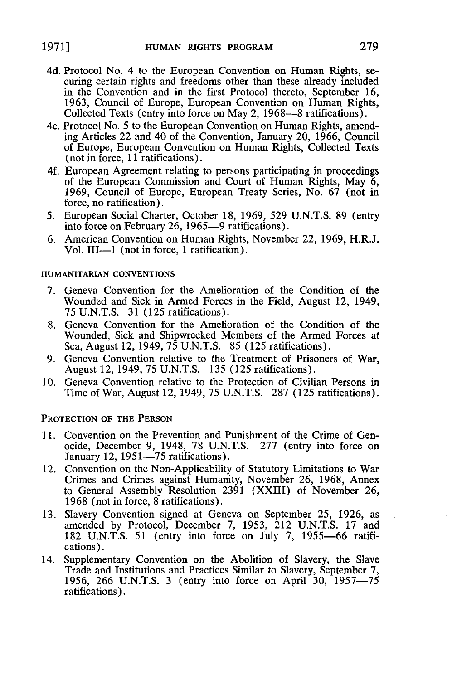- 4d. Protocol No. 4 to the European Convention on Human Rights, securing certain rights and freedoms other than these already included in the Convention and in the first Protocol thereto, September 16, **1963,** Council of Europe, European Convention on Human Rights, Collected Texts (entry into force on May 2, 1968—8 ratifications).
- 4e. Protocol No. **5** to the European Convention on Human Rights, amending Articles 22 and 40 of the Convention, January 20, 1966, Council of Europe, European Convention on Human Rights, Collected Texts (not in force, 11 ratifications).
- 4f. European Agreement relating to persons participating in proceedings of the European Commission and Court of Human Rights, May 6, 1969, Council of Europe, European Treaty Series, No. 67 (not in force, no ratification).
- 5. European Social Charter, October 18, 1969, 529 U.N.T.S. **89** (entry into force on February 26, 1965-9 ratifications).
- 6. American Convention on Human Rights, November 22, 1969, H.R.J. Vol. **111-1** (not in force, 1 ratification).

#### HUMANITARIAN **CONVENTIONS**

- **7.** Geneva Convention for the Amelioration of the Condition of the Wounded and Sick in Armed Forces in the Field, August 12, 1949, **75** U.N.T.S. **31** (125 ratifications).
- **8.** Geneva Convention for the Amelioration of the Condition of the Wounded, Sick and Shipwrecked Members of the Armed Forces at Sea, August 12, 1949, 75 U.N.T.S. **85** (125 ratifications).
- 9. Geneva Convention relative to the Treatment of Prisoners of War, August 12, 1949, **75** U.N.T.S. **135** (125 ratifications).
- 10. Geneva Convention relative to the Protection of Civilian Persons in Time of War, August 12, 1949, **75** U.N.T.S. 287 (125 ratifications).

#### **PROTECTION OF THE PERSON**

- **11.** Convention on the Prevention and Punishment of the Crime of Genocide, December 9, 1948, **78** U.N.T.S. **277** (entry into force on January 12,  $1951-75$  ratifications).
- 12. Convention on the Non-Applicability of Statutory Limitations to War Crimes and Crimes against Humanity, November **26,** 1968, Annex to General Assembly Resolution 2391 (XXIII) of November 26, 1968 (not in force, 8 ratifications).
- **13.** Slavery Convention signed at Geneva on September 25, 1926, as amended **by** Protocol, December **7,** 1953, 212 U.N.T.S. **17** and 182 U.N.T.S. 51 (entry into force on July **7,** 1955-66 ratifications).
- 14. Supplementary Convention on the Abolition of Slavery, the Slave Trade and Institutions and Practices Similar to Slavery, September 7, 1956, 266 U.N.T.S. 3 (entry into force on April 30, 1957-75 ratifications).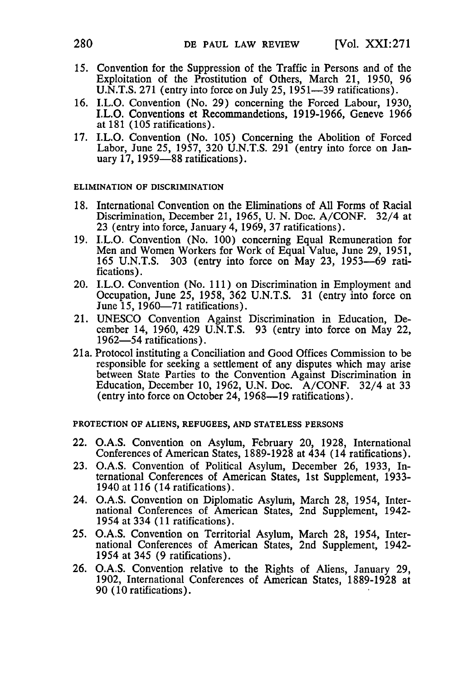- 15. Convention for the Suppression of the Traffic in Persons and of the Exploitation of the Prostitution of Others, March 21, 1950, 96 U.N.T.S. 271 (entry into force on July 25, 1951—39 ratifications).
- 16. I.L.O. Convention (No. 29) concerning the Forced Labour, 1930, I.L.O. Conventions et Recommandetions, 1919-1966, Geneve 1966 at 181 (105 ratifications).
- 17. I.L.O. Convention (No. 105) Concerning the Abolition of Forced Labor, June 25, 1957, 320 U.N.T.S. 291 (entry into force on January 17, 1959-88 ratifications).

#### **ELIMINATION OF DISCRIMINATION**

- **18.** International Convention on the Eliminations of **All** Forms of Racial Discrimination, December 21, **1965, U. N.** Doc. **A/CONF.** 32/4 at **23** (entry into force, January 4, **1969, 37** ratifications).
- **19.** I.L.O. Convention (No. **100)** concerning Equal Remuneration for Men and Women Workers for Work of Equal Value, June 29, 1951, 165 U.N.T.S. 303 (entry into force on May 23, 1953-69 ratifications).
- 20. I.L.O. Convention (No. 111) on Discrimination in Employment and Occupation, June 25, 1958, 362 U.N.T.S. 31 (entry into force on June 15, 1960—71 ratifications).
- 21. UNESCO Convention Against Discrimination in Education, December 14, 1960, 429 U.N.T.S. 93 (entry into force on May 22, 1962-54 ratifications).
- 21 a. Protocol instituting a Conciliation and Good Offices Commission to be responsible for seeking a settlement of any disputes which may arise between State Parties to the Convention Against Discrimination in Education, December 10, 1962, U.N. Doc. A/CONF. 32/4 at 33 (entry into force on October 24, 1968-19 ratifications).

**PROTECTION OF ALIENS, REFUGEES, AND STATELESS PERSONS**

- 22. **O.A.S.** Convention on Asylum, February 20, **1928,** International Conferences of American States, **1889-1928** at 434 (14 ratifications).
- **23. O.A.S.** Convention of Political Asylum, December **26, 1933,** International Conferences of American States, 1st Supplement, **1933-** 1940 at **116** (14 ratifications).
- 24. **O.A.S.** Convention on Diplomatic Asylum, March **28,** 1954, International Conferences of American States, 2nd Supplement, 1942- 1954 at 334 **(11** ratifications).
- **25. O.A.S.** Convention on Territorial Asylum, March **28,** 1954, International Conferences of American States, 2nd Supplement, 1942- 1954 at 345 **(9** ratifications).
- **26. O.A.S.** Convention relative to the Rights of Aliens, January **29, 1902,** International Conferences of American States, **1889-1928** at **90 (10** ratifications).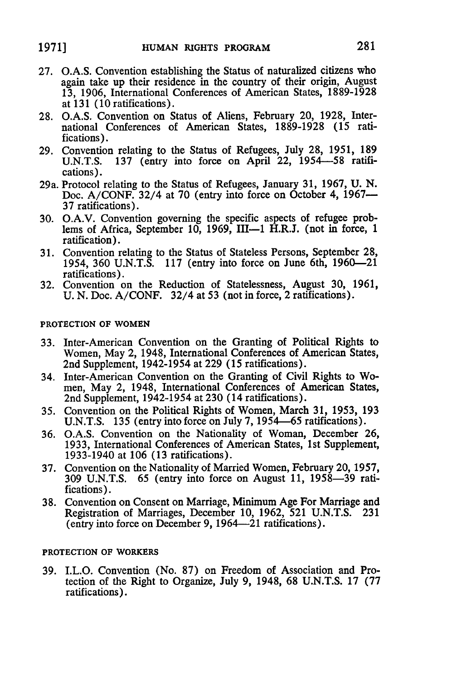- **27. O.A.S.** Convention establishing the Status of naturalized citizens who again take up their residence in the country of their origin, August 13, 1906, International Conferences of American States, 1889-1928 at **131** (10 ratifications).
- 28. O.A.S. Convention on Status of Aliens, February 20, 1928, International Conferences of American States, 1889-1928 (15 ratifications).
- **29.** Convention relating to the Status of Refugees, July **28,** 1951, **189** U.N.T.S. **137** (entry into force on April 22, **1954-58** ratifications).
- 29a. Protocol relating to the Status of Refugees, January **31,** 1967, **U. N.** Doc. A/CONF. 32/4 at **70** (entry into force on October 4, **1967- 37** ratifications).
- **30.** O.A.V. Convention governing the specific aspects of refugee problems of Africa, September 10, 1969, III-1 H.R.J. (not in force, 1 ratification).
- **31.** Convention relating to the Status of Stateless Persons, September **28,** 1954, 360 U.N.T.S. 117 (entry into force on June 6th, 1960-21 ratifications).
- **32.** Convention on the Reduction of Statelessness, August **30,** 1961, **U.** N. Doc. A/CONF. 32/4 at **53** (not in force, 2 ratifications).

#### **PROTECTION OF WOMEN**

- **33.** Inter-American Convention on the Granting of Political Rights to Women, May 2, 1948, International Conferences of American States, 2nd Supplement, 1942-1954 at 229 (15 ratifications).
- 34. Inter-American Convention on the Granting of Civil Rights to Women, May 2, 1948, International Conferences of American States, 2nd Supplement, 1942-1954 at 230 (14 ratifications).
- **35.** Convention on the Political Rights of Women, March 31, 1953, 193 U.N.T.S. 135 (entry into force on July **7,** 1954-65 ratifications).
- **36.** O.A.S. Convention on the Nationality of Woman, December 26, 1933, International Conferences of American States, 1st Supplement, 1933-1940 at 106 (13 ratifications).
- **37.** Convention on the Nationality of Married Women, February 20, **1957,** 309 U.N.T.S. 65 (entry into force on August 11, 1958-39 ratifications).
- 38. Convention on Consent on Marriage, Minimum Age For Marriage and Registration of Marriages, December 10, 1962, 521 U.N.T.S. 231 (entry into force on December 9, 1964-21 ratifications).

#### **PROTECTION OF WORKERS**

**39.** I.L.O. Convention (No. **87)** on Freedom of Association and Protection of the Right to Organize, July 9, 1948, **68 U.N.T.S.** 17 **(77** ratifications).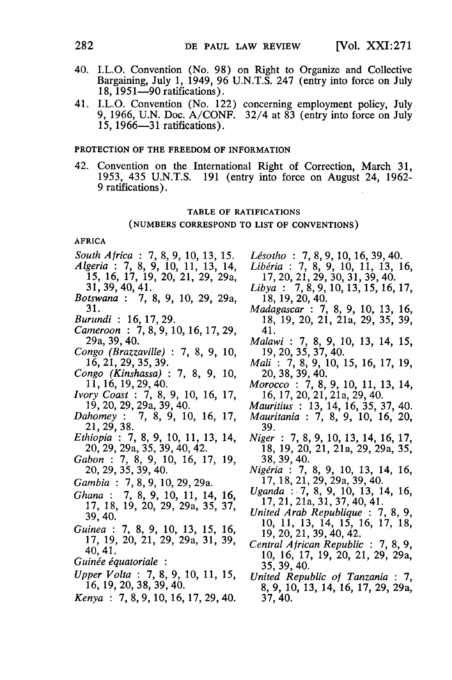- 40. I.L.O. Convention (No. 98) on Right to Organize and Collective Bargaining, July 1, 1949, 96 U.N.T.S. 247 (entry into force on July **18,** 1951-90 ratifications).
- 41. I.L.O. Convention (No. 122) concerning employment policy, July 9, 1966, U.N. Doc. A/CONF. 32/4 at 83 (entry into force on July 15, 1966-31 ratifications).

#### PROTECTION OF THE FREEDOM OF INFORMATION

42. Convention on the International Right of Correction, March 31, 1953, 435 U.N.T.S. 191 (entry into force on August 24, 1962- 9 ratifications).

#### TABLE OF **RATIFICATIONS**

#### **(NUMBERS** CORRESPOND TO **LIST** OF **CONVENTIONS)**

#### AFRICA

- *South Africa :* 7, 8, 9, 10, 13, 15. *Algeria :* 7, 8, 9, **10,** 11, 13, 14, *15,* 16, 17, 19, 20, 21, 29, 29a, 31, 39, 40, 41. *Botswana :* 7, 8, 9, 10, 29, 29a, 31. *Burundi :* 16, 17, 29. *Cameroon :* 7, 8, 9, 10, 16, 17, 29, 29a, 39, 40. *Congo (Brazzaville)* 7, 8, 9, 10, 16, 21, 29, 35, 39. *Congo (Kinshassa)* 7, 8, 9, 10, 11, 16, 19, 29, 40. *Ivory Coast :* 7, 8, 9, 10, 16, 17, 19, 20, 29, 29a, 39, 40. *Dahomey :* 7, 8, 9, 10, 16, 17, Dahomey:<br>21, 29, 38. *Ethiopia :* 7, 8, 9, 10, 11, 13, 14, 20, 29, 29a, 35, 39, 40, 42. *Gabon :* 7, 8, 9, 10, 16, 17, 19, 20, 29, 35, 39, 40. *Gambia* 7, 8, 9, 10, 29, 29a. *Ghana :* 7, 8, 9, 10, 11, 14, 16, 17, 18, 19, 20, 29, 29a, 35, 37, 39, 40. *Guinea :* 7, 8, 9, 10, 13, 15, 16, 17, 19, 20, 21, 29, 29a, 31, 39, 40, 41. *Guinée équatoriale*: *Upper Volta :* 7, 8, 9, 10, 11, 15, 16, 19, 20, 38, 39, 40. *Kenya :* 7, 8, 9, 10, 16, 17, 29, 40.
- *Lsotho* 7, 8, 9, 10, **16,** 39, 40.
- *Liberia* 7, 8, 9, 10, 11, 13, 16, 17, 20, 21, 29, 30, 31, 39, 40.
- *Libya :* 7, 8, 9, 10, 13, 15, 16, 17, 18, 19, 20, 40.
- *Madagascar :* 7, 8, 9, 10, 13, 16, 18, 19, 20, 21, 21a, 29, 35, 39, 41.
- *Malawi :* 7, 8, 9, 10, 13, 14, 15, 19, 20, 35, 37, 40.
- *Mali :* 7, 8, 9, 10, 15, 16, 17, 19, 20, 38, 39, 40.
- *Morocco :* 7, 8, 9, 10, 11, 13, 14, 16, 17, 20, 21, 21a, 29, 40.
- *Mauritius* 13, 14, 16, 35, 37, 40.
- *Mauritania* 7, 8, 9, 10, 16, 20, 39.
- *Niger :* 7, 8, 9, 10, 13, 14, 16, 17, 18, 19, 20, 21, 21a, 29, 29a, 35, 38, 39, 40.
- *Niggria :* 7, 8, 9, 10, 13, 14, 16, 17, 18, 21, 29, 29a, 39, 40.
- *Uganda* :.7, 8, 9, 10, 13, 14, 16, 17, 21, 21a, 31, 37, 40, 41.
- *United Arab Republique :* 7, 8, 9, 10, 11, 13, 14, 15, 16, 17, 18, 19, 20, 21, 39, 40, 42.
- *Central African Republic : 7,* 8, 9, 10, 16, 17, 19, 20, 21, 29, 29a, 35, 39, 40.
- *United Republic of Tanzania :* 7, 8, 9, 10, 13, 14, 16, 17, 29, 29a, 37, 40.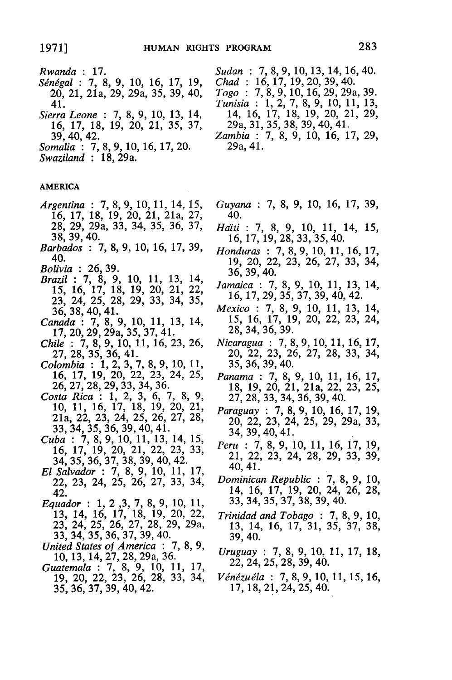- *Rwanda* 17. *Sdndgal* **:7, 8, 9, 10, 16, 17, 19,** 20, 21, 21a, 29, 29a, 35, 39, 40, 41.
- *Sierra Leone :* 7, 8, 9, 10, 13, 14, 16, 17, 18, 19, 20, 21, 35, 37, 39, 40, 42.
- *Somalia :* 7, 8, 9, 10, 16, 17, 20.
- *Swaziland* 18, 29a.

#### **AMERICA**

- *Argentina* **7,** 8, 9, 10, 11, 14, 15, 16, 17, 18, 19, 20, 21, 21a, 27, 28, 29, 29a, 33, 34, 35, 36, 37, 38, 39, 40.
- *Barbados :* 7, 8, 9, 10, 16, 17, 39, 40.
- *Bolivia* 26, 39.
- *Brazil* : 7, 8, 9, 10, 11, 13, 14, 15, 16, 17, 18, 19, 20, 21, 22, 23, 24, 25, 28, 29, 33, 34, *35,* 36, 38, 40, 41.
- *Canada :* 7, 8, 9, 10, 11, 13, 14, 17, 20, 29, 29a, 35, 37, 41.
- *Chile :* 7, 8, 9, 10, 11, 16, 23, 26, 27, 28, 35, 36, 41.
- *Colombia :* 1, 2, 3, 7, 8, 9, 10, 11, 16, 17, 19, 20, 22, 23, 24, 25, 26, 27, 28, 29, 33, 34, 36.
- *Costa Rica :* 1, 2, 3, 6, 7, 8, 9, 10, 11, 16, 17, 18, 19, 20, 21, 21a, 22, 23, 24, 25, 26, 27, 28, 33, 34, 35, 36, 39, 40, 41.
- *Cuba :* 7, 8, 9, 10, 11, 13, 14, 15, 16, 17, 19, 20, 21, 22, 23, 33, 34, 35, 36, 37, 38, 39, 40, 42.
- *El Salvador :* 7, 8, 9, 10, 11, 17, 22, 23, 24, 25, 26, 27, 33, 34, 42.
- *Equador* : 1, 2, 3, 7, 8, 9, 10, 11, 13, 14, 16, 17, 18, 19, 20, 22, 23, 24, 25, 26, 27, 28, 29, 29a, 33, 34, 35, 36, 37, 39, 40.
- *United States of America : 7,* **8,** 9, 10, 13, 14, 27, 28, 29a, 36.
- *Guatemala :* 7, 8, 9, 10, 11, 17, 19, 20, 22, 23, 26, 28, 33, 34, 35, 36, 37, 39, 40, 42.

*Sudan* : 7, 8, 9, 10, 13, 14, 16, 40. *Chad* **16,** 17, 19, 20, 39, 40.

- *Togo* 7, 8, 9, 10, 16, 29, 29a, 39. *Tunisia :* 1, 2, 7, 8, 9, 10, 11, 13, 14, 16, 17, 18, 19, 20, 21, 29, 29a, 31, 35, 38, 39, 40, 41.
- *Zambia :* 7, 8, 9, 10, 16, 17, 29, 29a, 41.
- *Guyana :* 7, 8, 9, 10, 16, 17, 39, 40.
- *Haiti :* 7, 8, 9, 10, 11, 14, 15, 16, 17, 19, 28, 33, 35, 40.
- *Honduras :* 7, 8, 9, 10, 11, 16, 17, 19, 20, 22, 23, 26, 27, 33, 34, 36, 39, 40.
- *Jamaica :* 7, 8, 9, 10, 11, 13, 14, 16, 17, 29, 35, 37, 39, 40, 42.
- *Mexico :* 7, 8, 9, 10, 11, 13, 14, 15, 16, 17, 19, 20, 22, 23, 24, 28, 34, 36, 39.
- *Nicaragua :* 7, 8, 9, 10, 11, 16, 17, 20, 22, 23, 26, 27, 28, 33, 34, 35, 36, 39, 40.
- *Panama :* 7, 8, 9, 10, 11, 16, 17, 18, 19, 20, 21, 21a, 22, 23, 25, 27, 28, 33, 34, 36, 39, 40.
- *Paraguay :* 7, 8, 9, 10, 16, 17, 19, 20, 22, 23, 24, 25, 29, 29a, 33, 34, 39, 40,41.
- *Peru :* 7, 8, 9, 10, 11, 16, 17, 19, 21, 22, 23, 24, 28, 29, 33, 39, 40, 41.
- *Dominican Republic :* 7, 8, 9, 10, 14, 16, 17, 19, 20, 24, 26, 28, 33, 34, 35, 37, 38, 39, 40.
- *Trinidad and Tobago :* 7, 8, 9, 10, 13, 14, 16, 17, 31, 35, 37, 38, 39, 40.
- *Uruguay :* 7, 8, 9, 10, 11, 17, 18, 22, 24, 25, 28, 39, 40.
- *Vngzugla :* **7, 8,** 9, 10, 11, 15, 16, 17, 18, 21, 24, 25, 40.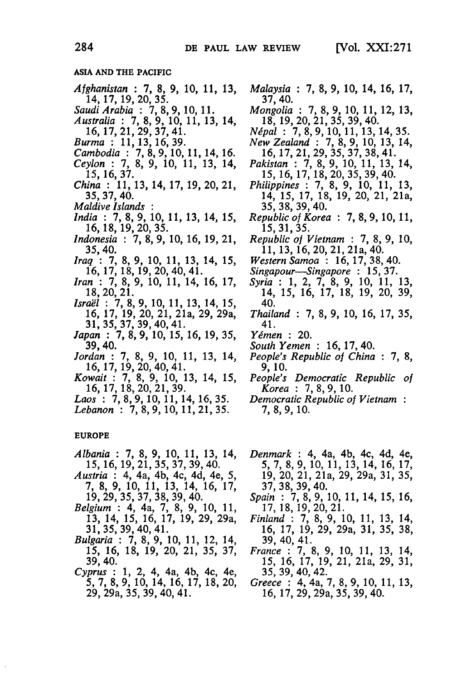#### **ASIA AND THE PACIFIC**

- *Afghanistan :* **7, 8, 9, 10, 11, 13,** 14, 17, 19, 20, **35.**
- *Saudi Arabia :* **7, 8,9, 10, 11.** *Australia :* 7, **8, 9, 10, 11, 13,** 14, 16, 17, 21, 29, 37, 41.
- *Burma :* 11, 13, 16, 39.
- *Cambodia :* 7, 8, 9, 10, 11, 14, 16.
- *Ceylon :* 7, 8, 9, 10, 11, 13, 14, 15, 16, 37.
- *China :* 11, 13, 14, 17, 19, 20, 21, 35, 37, 40.
- *Maldive Islands*
- *India :* 7, 8, 9, 10, 11, 13, 14, 15, 16, 18, 19, 20, 35.
- *Indonesia :* 7, 8, 9, 10, 16, 19, 21, 35, 40.
- *Iraq :* 7, 8, 9, 10, 11, 13, 14, 15, 16, 17, 18, 19, 20, 40, 41.
- *Iran :* 7, 8, 9, 10, 11, 14, 16, 17, **18, 20, 21.**
- *Isral :* 7, 8, 9, 10, 11, 13, 14, 15, 16, 17, 19, 20, 21, 21a, 29, 29a, 31, 35, 37, 39, 40, 41.
- *Japan :* 7, 8, 9, 10, 15, 16, 19, 35, 39,40.
- *Jordan :* 7, 8, 9, 10, 11, 13, 14, 16, 17, 19, 20, 40, 41.
- *Kowait :* 7, 8, 9, 10, 13, 14, 15, 16, 17, 18, 20, 21, 39.
- *Laos :* 7, 8, 9, 10, 11, 14, 16, 35.
- *Lebanon :* 7, 8, 9, 10, 11, 21, **35.**

#### **EUROPE**

- *Albania :* 7, 8, **9,** 10, 11, 13, 14, 15, 16, 19, 21, 35, 37, 39, 40.
- *Austria :* 4, 4a, 4b, 4c, 4d, 4e, 5, 7, 8, 9, 10, 11, 13, 14, 16, 17, 19, 29, 35, 37, 38, 39, 40.
- *Belgium :* 4, 4a, 7, 8, 9, 10, 11, 13, 14, 15, 16, 17, 19, 29, 29a, 31, 35, 39, 40, 41.
- *Bulgaria :* 7, 8, 9, 10, 11, 12, 14, 15, 16, 18, 19, 20, 21, 35, 37, 39, 40.
- *Cyprus :* 1, 2, 4, 4a, 4b, 4c, 4e, 5, 7, 8, 9, 10, 14, 16, 17, 18, 20, 29, 29a, 35, 39, 40, 41.
- *Malaysia* : 7, 8, 9, 10, 14, 16, 17, 37, 40.
- *Mongolia* 7, 8, 9, 10, 11, 12, 13, **18, 19,** 20, 21, **35, 39,** 40.
- *Npal :* 7, 8,9, 10, 11, 13, 14, 35.
- *New Zealand :* 7, 8, 9, 10, 13, 14, 16, 17, 21, 29, 35, 37, 38, 41.
- *Pakistan :* 7, 8, 9, 10, 11, 13, 14, 15, 16, 17, 18, 20, 35, 39, 40.
- *Philippines :* 7, 8, 9, 10, 11, 13, 14, 15, 17, 18, 19, 20, 21, 21a, 35, 38, 39, 40.
- *Republic of Korea :* 7, 8, 9, 10, 11, 15, 31, 35.
- *Republic of Vietnam :* 7, 8, 9, 10, 11, 13, 16, 20, 21, 21a, 40.
- *Western Samoa :* 16, 17, 38, 40.
- *Singapour-Singapore :* 15, 37.
- *Syria :* 1, 2, 7, 8, 9, 10, 11, 13, 14, 15, 16, 17, 18, 19, 20, 39, 40.
- *Thailand :* 7, 8, 9, 10, 16, 17, 35, 41.
- *Ygmen :* 20.
- *South Yemen :* 16, 17, 40.
- *People's Republic of China : 7,* 8, 9, 10.
- *People's Democratic Republic of Korea :* 7, 8, 9, 10.
- *Democratic Republic of Vietnam* 7, 8, 9, 10.
- *Denmark :* 4, 4a, 4b, 4c, 4d, 4e, 5, 7, 8, 9, 10, 11, 13, 14, 16, 17, 19, 20, 21, 21a, 29, 29a, 31, 35, 37, 38, 39, 40.
- *Spain :* 7, 8, 9, 10, 11, 14, 15, 16, 17, 18, 19, 20, 21.
- *Finland :* 7, 8, 9, 10, 11, 13, 14, 16, 17, 19, 29, 29a, 31, 35, 38, 39, 40, 41.
- *France :* 7, 8, 9, 10, 11, 13, 14, 15, 16, 17, 19, 21, 21a, 29, 31, 35, 39, 40, 42.
- *Greece :* 4, 4a, 7,8,9, 10, 11, 13, 16, 17, 29, 29a, 35, 39, 40.